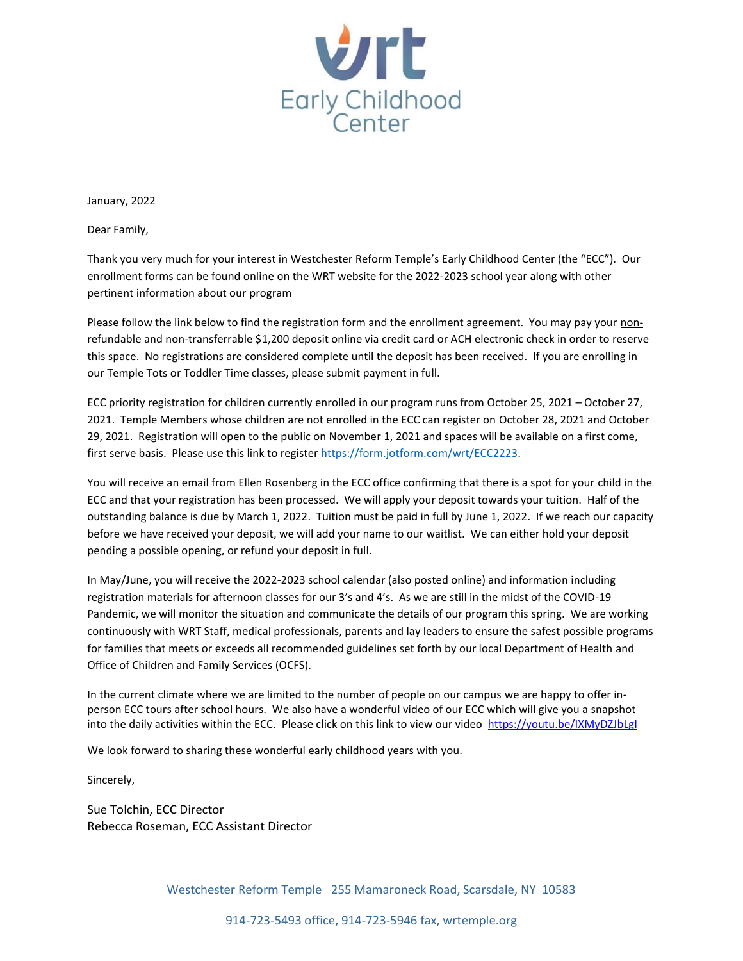

January, 2022

Dear Family,

Thank you very much for your interest in Westchester Reform Temple's Early Childhood Center (the "ECC"). Our enrollment forms can be found online on the WRT website for the 2022-2023 school year along with other pertinent information about our program

Please follow the link below to find the registration form and the enrollment agreement. You may pay your nonrefundable and non-transferrable \$1,200 deposit online via credit card or ACH electronic check in order to reserve this space. No registrations are considered complete until the deposit has been received. If you are enrolling in our Temple Tots or Toddler Time classes, please submit payment in full.

ECC priority registration for children currently enrolled in our program runs from October 25, 2021 – October 27, 2021. Temple Members whose children are not enrolled in the ECC can register on October 28, 2021 and October 29, 2021. Registration will open to the public on November 1, 2021 and spaces will be available on a first come, first serve basis. Please use this link to register https://form.jotform.com/wrt/ECC2223.

You will receive an email from Ellen Rosenberg in the ECC office confirming that there is a spot for your child in the ECC and that your registration has been processed. We will apply your deposit towards your tuition. Half of the outstanding balance is due by March 1, 2022. Tuition must be paid in full by June 1, 2022. If we reach our capacity before we have received your deposit, we will add your name to our waitlist. We can either hold your deposit pending a possible opening, or refund your deposit in full.

In May/June, you will receive the 2022-2023 school calendar (also posted online) and information including registration materials for afternoon classes for our 3's and 4's. As we are still in the midst of the COVID-19 Pandemic, we will monitor the situation and communicate the details of our program this spring. We are working continuously with WRT Staff, medical professionals, parents and lay leaders to ensure the safest possible programs for families that meets or exceeds all recommended guidelines set forth by our local Department of Health and Office of Children and Family Services (OCFS).

In the current climate where we are limited to the number of people on our campus we are happy to offer inperson ECC tours after school hours. We also have a wonderful video of our ECC which will give you a snapshot into the daily activities within the ECC. Please click on this link to view our video <https://youtu.be/IXMyDZJbLgI>

We look forward to sharing these wonderful early childhood years with you.

Sincerely,

Sue Tolchin, ECC Director Rebecca Roseman, ECC Assistant Director

Westchester Reform Temple 255 Mamaroneck Road, Scarsdale, NY 10583

914-723-5493 office, 914-723-5946 fax, wrtemple.org